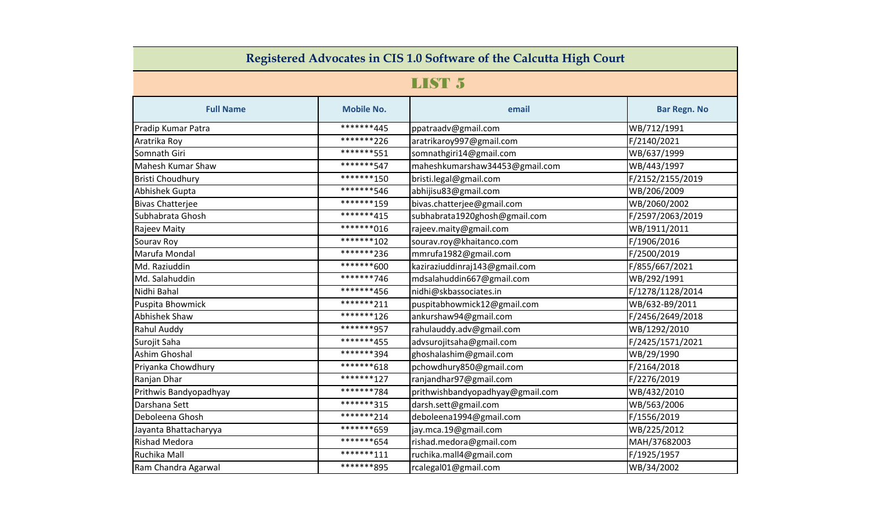| Registered Advocates in CIS 1.0 Software of the Calcutta High Court |                   |                                  |                     |  |  |  |
|---------------------------------------------------------------------|-------------------|----------------------------------|---------------------|--|--|--|
| LIST 5                                                              |                   |                                  |                     |  |  |  |
| <b>Full Name</b>                                                    | <b>Mobile No.</b> | email                            | <b>Bar Regn. No</b> |  |  |  |
| Pradip Kumar Patra                                                  | *******445        | ppatraadv@gmail.com              | WB/712/1991         |  |  |  |
| Aratrika Roy                                                        | *******226        | aratrikaroy997@gmail.com         | F/2140/2021         |  |  |  |
| Somnath Giri                                                        | *******551        | somnathgiri14@gmail.com          | WB/637/1999         |  |  |  |
| Mahesh Kumar Shaw                                                   | *******547        | maheshkumarshaw34453@gmail.com   | WB/443/1997         |  |  |  |
| <b>Bristi Choudhury</b>                                             | ********150       | bristi.legal@gmail.com           | F/2152/2155/2019    |  |  |  |
| Abhishek Gupta                                                      | *******546        | abhijisu83@gmail.com             | WB/206/2009         |  |  |  |
| <b>Bivas Chatterjee</b>                                             | *******159        | bivas.chatterjee@gmail.com       | WB/2060/2002        |  |  |  |
| Subhabrata Ghosh                                                    | *******415        | subhabrata1920ghosh@gmail.com    | F/2597/2063/2019    |  |  |  |
| Rajeev Maity                                                        | ********016       | rajeev.maity@gmail.com           | WB/1911/2011        |  |  |  |
| Sourav Roy                                                          | ********102       | sourav.roy@khaitanco.com         | F/1906/2016         |  |  |  |
| Marufa Mondal                                                       | ********236       | mmrufa1982@gmail.com             | F/2500/2019         |  |  |  |
| Md. Raziuddin                                                       | *******600        | kaziraziuddinraj143@gmail.com    | F/855/667/2021      |  |  |  |
| Md. Salahuddin                                                      | *******746        | mdsalahuddin667@gmail.com        | WB/292/1991         |  |  |  |
| Nidhi Bahal                                                         | *******456        | nidhi@skbassociates.in           | F/1278/1128/2014    |  |  |  |
| Puspita Bhowmick                                                    | ********211       | puspitabhowmick12@gmail.com      | WB/632-B9/2011      |  |  |  |
| Abhishek Shaw                                                       | *******126        | ankurshaw94@gmail.com            | F/2456/2649/2018    |  |  |  |
| Rahul Auddy                                                         | *******957        | rahulauddy.adv@gmail.com         | WB/1292/2010        |  |  |  |
| Surojit Saha                                                        | *******455        | advsurojitsaha@gmail.com         | F/2425/1571/2021    |  |  |  |
| Ashim Ghoshal                                                       | *******394        | ghoshalashim@gmail.com           | WB/29/1990          |  |  |  |
| Priyanka Chowdhury                                                  | ********618       | pchowdhury850@gmail.com          | F/2164/2018         |  |  |  |
| Ranjan Dhar                                                         | *******127        | ranjandhar97@gmail.com           | F/2276/2019         |  |  |  |
| Prithwis Bandyopadhyay                                              | *******784        | prithwishbandyopadhyay@gmail.com | WB/432/2010         |  |  |  |
| Darshana Sett                                                       | *******315        | darsh.sett@gmail.com             | WB/563/2006         |  |  |  |
| Deboleena Ghosh                                                     | ********214       | deboleena1994@gmail.com          | F/1556/2019         |  |  |  |
| Jayanta Bhattacharyya                                               | *******659        | jay.mca.19@gmail.com             | WB/225/2012         |  |  |  |
| Rishad Medora                                                       | *******654        | rishad.medora@gmail.com          | MAH/37682003        |  |  |  |
| Ruchika Mall                                                        | *******111        | ruchika.mall4@gmail.com          | F/1925/1957         |  |  |  |
| Ram Chandra Agarwal                                                 | *******895        | rcalegal01@gmail.com             | WB/34/2002          |  |  |  |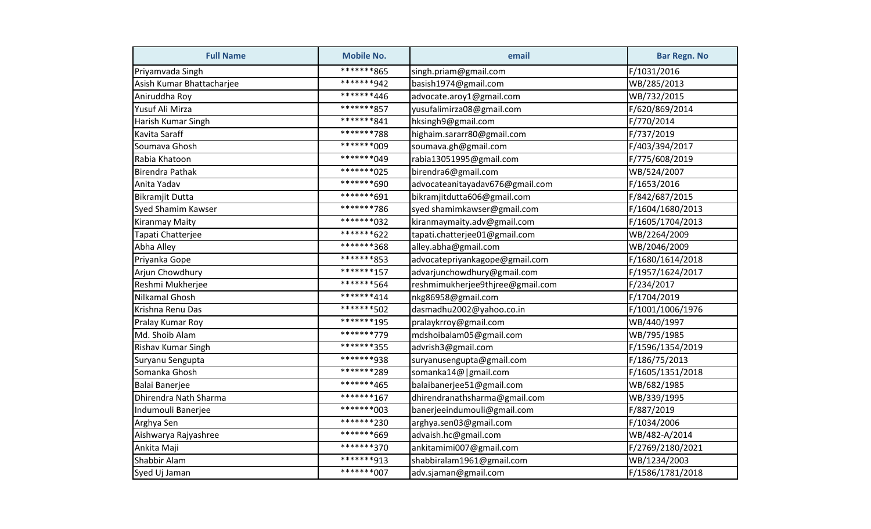| <b>Full Name</b>          | <b>Mobile No.</b> | email                            | <b>Bar Regn. No</b> |
|---------------------------|-------------------|----------------------------------|---------------------|
| Priyamvada Singh          | *******865        | singh.priam@gmail.com            | F/1031/2016         |
| Asish Kumar Bhattacharjee | *******942        | basish1974@gmail.com             | WB/285/2013         |
| Aniruddha Roy             | *******446        | advocate.aroy1@gmail.com         | WB/732/2015         |
| Yusuf Ali Mirza           | *******857        | yusufalimirza08@gmail.com        | F/620/869/2014      |
| Harish Kumar Singh        | *******841        | hksingh9@gmail.com               | F/770/2014          |
| Kavita Saraff             | *******788        | highaim.sararr80@gmail.com       | F/737/2019          |
| Soumava Ghosh             | *******009        | soumava.gh@gmail.com             | F/403/394/2017      |
| Rabia Khatoon             | ********049       | rabia13051995@gmail.com          | F/775/608/2019      |
| <b>Birendra Pathak</b>    | *******025        | birendra6@gmail.com              | WB/524/2007         |
| Anita Yadav               | *******690        | advocateanitayadav676@gmail.com  | F/1653/2016         |
| <b>Bikramjit Dutta</b>    | *******691        | bikramjitdutta606@gmail.com      | F/842/687/2015      |
| Syed Shamim Kawser        | *******786        | syed shamimkawser@gmail.com      | F/1604/1680/2013    |
| Kiranmay Maity            | ********032       | kiranmaymaity.adv@gmail.com      | F/1605/1704/2013    |
| Tapati Chatterjee         | *******622        | tapati.chatterjee01@gmail.com    | WB/2264/2009        |
| Abha Alley                | *******368        | alley.abha@gmail.com             | WB/2046/2009        |
| Priyanka Gope             | *******853        | advocatepriyankagope@gmail.com   | F/1680/1614/2018    |
| Arjun Chowdhury           | *******157        | advarjunchowdhury@gmail.com      | F/1957/1624/2017    |
| Reshmi Mukherjee          | *******564        | reshmimukherjee9thjree@gmail.com | F/234/2017          |
| Nilkamal Ghosh            | *******414        | nkg86958@gmail.com               | F/1704/2019         |
| Krishna Renu Das          | ********502       | dasmadhu2002@yahoo.co.in         | F/1001/1006/1976    |
| Pralay Kumar Roy          | *******195        | pralaykrroy@gmail.com            | WB/440/1997         |
| Md. Shoib Alam            | *******779        | mdshoibalam05@gmail.com          | WB/795/1985         |
| Rishav Kumar Singh        | *******355        | advrish3@gmail.com               | F/1596/1354/2019    |
| Suryanu Sengupta          | *******938        | suryanusengupta@gmail.com        | F/186/75/2013       |
| Somanka Ghosh             | ********289       | somanka14@   gmail.com           | F/1605/1351/2018    |
| Balai Banerjee            | *******465        | balaibanerjee51@gmail.com        | WB/682/1985         |
| Dhirendra Nath Sharma     | *******167        | dhirendranathsharma@gmail.com    | WB/339/1995         |
| Indumouli Banerjee        | ********003       | banerjeeindumouli@gmail.com      | F/887/2019          |
| Arghya Sen                | ********230       | arghya.sen03@gmail.com           | F/1034/2006         |
| Aishwarya Rajyashree      | *******669        | advaish.hc@gmail.com             | WB/482-A/2014       |
| Ankita Maji               | *******370        | ankitamimi007@gmail.com          | F/2769/2180/2021    |
| Shabbir Alam              | *******913        | shabbiralam1961@gmail.com        | WB/1234/2003        |
| Syed Uj Jaman             | ********007       | adv.sjaman@gmail.com             | F/1586/1781/2018    |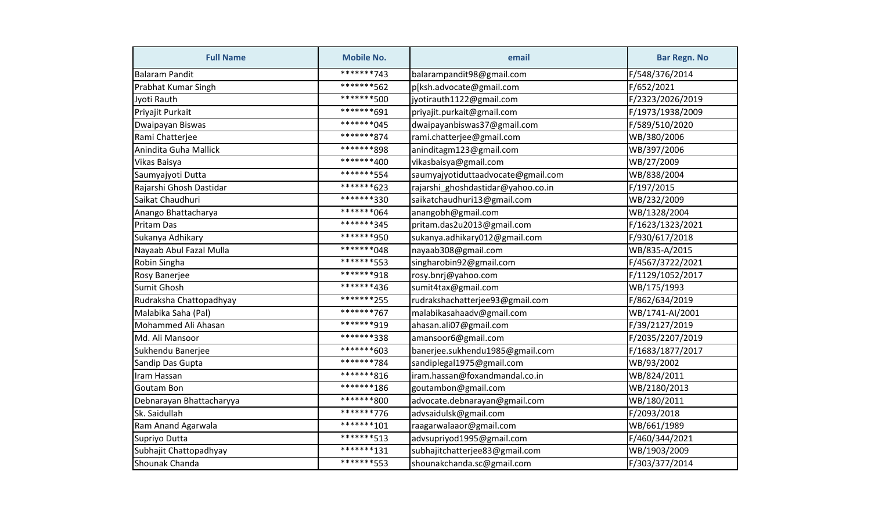| <b>Full Name</b>         | <b>Mobile No.</b> | email                              | <b>Bar Regn. No</b> |
|--------------------------|-------------------|------------------------------------|---------------------|
| <b>Balaram Pandit</b>    | *******743        | balarampandit98@gmail.com          | F/548/376/2014      |
| Prabhat Kumar Singh      | *******562        | p[ksh.advocate@gmail.com           | F/652/2021          |
| Jyoti Rauth              | *******500        | jyotirauth1122@gmail.com           | F/2323/2026/2019    |
| Priyajit Purkait         | *******691        | priyajit.purkait@gmail.com         | F/1973/1938/2009    |
| Dwaipayan Biswas         | ********045       | dwaipayanbiswas37@gmail.com        | F/589/510/2020      |
| Rami Chatterjee          | *******874        | rami.chatterjee@gmail.com          | WB/380/2006         |
| Anindita Guha Mallick    | *******898        | aninditagm123@gmail.com            | WB/397/2006         |
| Vikas Baisya             | *******400        | vikasbaisya@gmail.com              | WB/27/2009          |
| Saumyajyoti Dutta        | *******554        | saumyajyotiduttaadvocate@gmail.com | WB/838/2004         |
| Rajarshi Ghosh Dastidar  | ********623       | rajarshi_ghoshdastidar@yahoo.co.in | F/197/2015          |
| Saikat Chaudhuri         | *******330        | saikatchaudhuri13@gmail.com        | WB/232/2009         |
| Anango Bhattacharya      | ********064       | anangobh@gmail.com                 | WB/1328/2004        |
| Pritam Das               | *******345        | pritam.das2u2013@gmail.com         | F/1623/1323/2021    |
| Sukanya Adhikary         | *******950        | sukanya.adhikary012@gmail.com      | F/930/617/2018      |
| Nayaab Abul Fazal Mulla  | *******048        | nayaab308@gmail.com                | WB/835-A/2015       |
| Robin Singha             | *******553        | singharobin92@gmail.com            | F/4567/3722/2021    |
| Rosy Banerjee            | *******918        | rosy.bnrj@yahoo.com                | F/1129/1052/2017    |
| <b>Sumit Ghosh</b>       | *******436        | sumit4tax@gmail.com                | WB/175/1993         |
| Rudraksha Chattopadhyay  | ********255       | rudrakshachatterjee93@gmail.com    | F/862/634/2019      |
| Malabika Saha (Pal)      | *******767        | malabikasahaadv@gmail.com          | WB/1741-AI/2001     |
| Mohammed Ali Ahasan      | *******919        | ahasan.ali07@gmail.com             | F/39/2127/2019      |
| Md. Ali Mansoor          | *******338        | amansoor6@gmail.com                | F/2035/2207/2019    |
| Sukhendu Banerjee        | ********603       | banerjee.sukhendu1985@gmail.com    | F/1683/1877/2017    |
| Sandip Das Gupta         | *******784        | sandiplegal1975@gmail.com          | WB/93/2002          |
| Iram Hassan              | *******816        | iram.hassan@foxandmandal.co.in     | WB/824/2011         |
| <b>Goutam Bon</b>        | ********186       | goutambon@gmail.com                | WB/2180/2013        |
| Debnarayan Bhattacharyya | *******800        | advocate.debnarayan@gmail.com      | WB/180/2011         |
| Sk. Saidullah            | *******776        | advsaidulsk@gmail.com              | F/2093/2018         |
| Ram Anand Agarwala       | *******101        | raagarwalaaor@gmail.com            | WB/661/1989         |
| Supriyo Dutta            | *******513        | advsupriyod1995@gmail.com          | F/460/344/2021      |
| Subhajit Chattopadhyay   | *******131        | subhajitchatterjee83@gmail.com     | WB/1903/2009        |
| Shounak Chanda           | *******553        | shounakchanda.sc@gmail.com         | F/303/377/2014      |